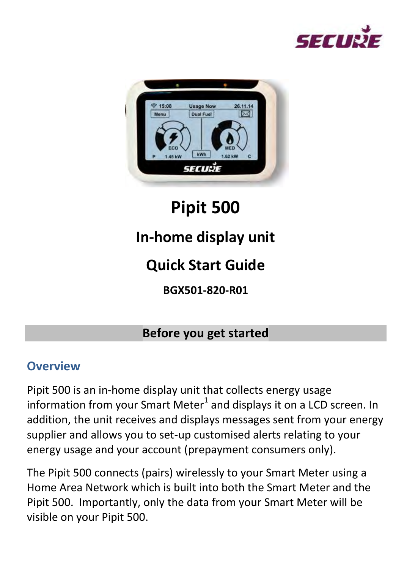



# **Pipit 500**

# **In-home display unit**

# **Quick Start Guide**

**BGX501-820-R01** 

#### **Before you get started**

#### **Overview**

Pipit 500 is an in-home display unit that collects energy usage information from your Smart Meter $^1$  and displays it on a LCD screen. In addition, the unit receives and displays messages sent from your energy supplier and allows you to set-up customised alerts relating to your energy usage and your account (prepayment consumers only).

The Pipit 500 connects (pairs) wirelessly to your Smart Meter using a Home Area Network which is built into both the Smart Meter and the Pipit 500. Importantly, only the data from your Smart Meter will be visible on your Pipit 500.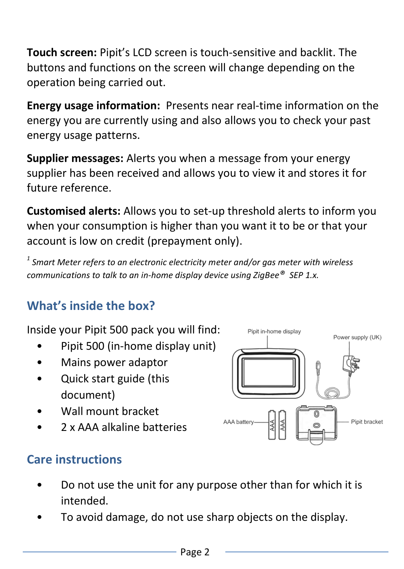**Touch screen:** Pipit's LCD screen is touch-sensitive and backlit. The buttons and functions on the screen will change depending on the operation being carried out.

**Energy usage information:** Presents near real-time information on the energy you are currently using and also allows you to check your past energy usage patterns.

**Supplier messages:** Alerts you when a message from your energy supplier has been received and allows you to view it and stores it for future reference.

**Customised alerts:** Allows you to set-up threshold alerts to inform you when your consumption is higher than you want it to be or that your account is low on credit (prepayment only).

*1 Smart Meter refers to an electronic electricity meter and/or gas meter with wireless communications to talk to an in-home display device using ZigBee® SEP 1.x.* 

# **What's inside the box?**

Inside your Pipit 500 pack you will find:

- Pipit 500 (in-home display unit)
- Mains power adaptor
- Quick start guide (this document)
- Wall mount bracket
- 2 x AAA alkaline batteries



### **Care instructions**

- Do not use the unit for any purpose other than for which it is intended.
- To avoid damage, do not use sharp objects on the display.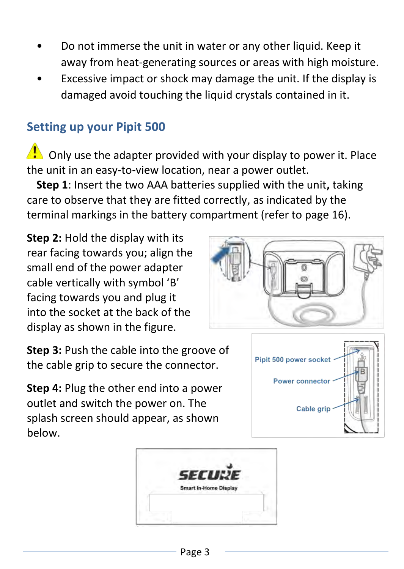- Do not immerse the unit in water or any other liquid. Keep it away from heat-generating sources or areas with high moisture.
- Excessive impact or shock may damage the unit. If the display is damaged avoid touching the liquid crystals contained in it.

#### **Setting up your Pipit 500**

 $\langle \cdot \rangle$  Only use the adapter provided with your display to power it. Place the unit in an easy-to-view location, near a power outlet.

**Step 1**: Insert the two AAA batteries supplied with the unit**,** taking care to observe that they are fitted correctly, as indicated by the terminal markings in the battery compartment (refer to page 16).

**Step 2:** Hold the display with its rear facing towards you; align the small end of the power adapter cable vertically with symbol 'B' facing towards you and plug it into the socket at the back of the display as shown in the figure.

**Step 3:** Push the cable into the groove of the cable grip to secure the connector.

**Step 4:** Plug the other end into a power outlet and switch the power on. The splash screen should appear, as shown below.





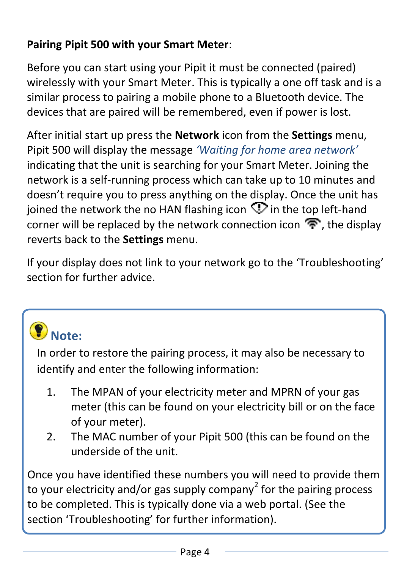#### **Pairing Pipit 500 with your Smart Meter**:

Before you can start using your Pipit it must be connected (paired) wirelessly with your Smart Meter. This is typically a one off task and is a similar process to pairing a mobile phone to a Bluetooth device. The devices that are paired will be remembered, even if power is lost.

After initial start up press the **Network** icon from the **Settings** menu, Pipit 500 will display the message *'Waiting for home area network'* indicating that the unit is searching for your Smart Meter. Joining the network is a self-running process which can take up to 10 minutes and doesn't require you to press anything on the display. Once the unit has ioined the network the no HAN flashing icon  $\heartsuit$  in the top left-hand corner will be replaced by the network connection icon  $\mathcal{F}$ , the display reverts back to the **Settings** menu.

If your display does not link to your network go to the 'Troubleshooting' section for further advice.

# $\bullet$  Note:

In order to restore the pairing process, it may also be necessary to identify and enter the following information:

- 1. The MPAN of your electricity meter and MPRN of your gas meter (this can be found on your electricity bill or on the face of your meter).
- 2. The MAC number of your Pipit 500 (this can be found on the underside of the unit.

Once you have identified these numbers you will need to provide them to your electricity and/or gas supply company<sup>2</sup> for the pairing process to be completed. This is typically done via a web portal. (See the section 'Troubleshooting' for further information).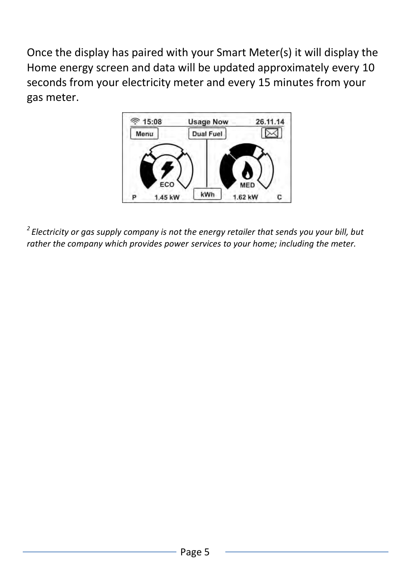Once the display has paired with your Smart Meter(s) it will display the Home energy screen and data will be updated approximately every 10 seconds from your electricity meter and every 15 minutes from your gas meter.



*<sup>2</sup>Electricity or gas supply company is not the energy retailer that sends you your bill, but rather the company which provides power services to your home; including the meter.*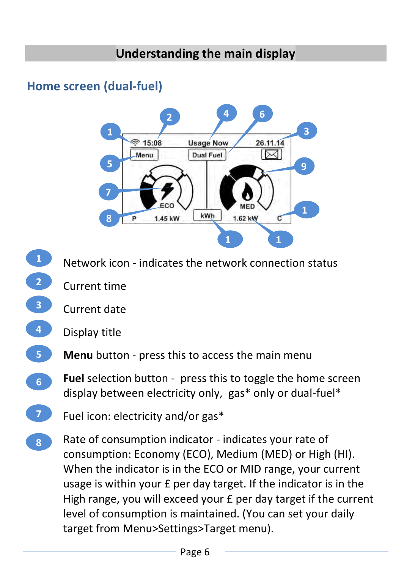### **Home screen (dual-fuel)**



- Network icon indicates the network connection status **1 2**
- Current time
- Current date **3**



**6**

- **Menu** button press this to access the main menu **5**
	- **Fuel** selection button press this to toggle the home screen display between electricity only, gas\* only or dual-fuel\*
- Fuel icon: electricity and/or gas\* **7**
- Rate of consumption indicator indicates your rate of consumption: Economy (ECO), Medium (MED) or High (HI). When the indicator is in the ECO or MID range, your current usage is within your £ per day target. If the indicator is in the High range, you will exceed your £ per day target if the current level of consumption is maintained. (You can set your daily target from Menu>Settings>Target menu). **8**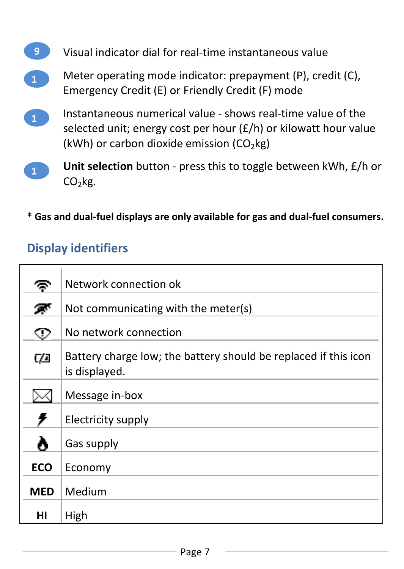

selected unit; energy cost per hour (£/h) or kilowatt hour value (kWh) or carbon dioxide emission  $(CO<sub>2</sub>kg)$ 



**\* Gas and dual-fuel displays are only available for gas and dual-fuel consumers.** 

### **Display identifiers**

| c          | Network connection ok                                                            |
|------------|----------------------------------------------------------------------------------|
| π          | Not communicating with the meter(s)                                              |
| ⊙          | No network connection                                                            |
| CO         | Battery charge low; the battery should be replaced if this icon<br>is displayed. |
|            | Message in-box                                                                   |
| ş          | Electricity supply                                                               |
| ۸          | Gas supply                                                                       |
| <b>ECO</b> | Economy                                                                          |
| <b>MED</b> | Medium                                                                           |
| нı         | High                                                                             |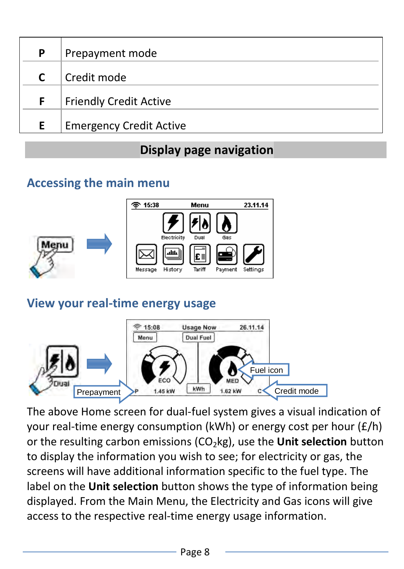| P | Prepayment mode                |
|---|--------------------------------|
| C | Credit mode                    |
| F | <b>Friendly Credit Active</b>  |
| F | <b>Emergency Credit Active</b> |

# **Display page navigation**

#### **Accessing the main menu**



#### **View your real-time energy usage**



The above Home screen for dual-fuel system gives a visual indication of your real-time energy consumption (kWh) or energy cost per hour (£/h) or the resulting carbon emissions (CO<sub>2</sub>kg), use the **Unit selection** button to display the information you wish to see; for electricity or gas, the screens will have additional information specific to the fuel type. The label on the **Unit selection** button shows the type of information being displayed. From the Main Menu, the Electricity and Gas icons will give access to the respective real-time energy usage information.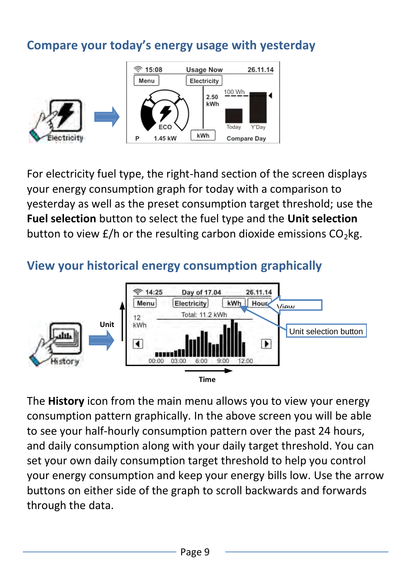#### **Compare your today's energy usage with yesterday**



For electricity fuel type, the right-hand section of the screen displays your energy consumption graph for today with a comparison to yesterday as well as the preset consumption target threshold; use the **Fuel selection** button to select the fuel type and the **Unit selection** button to view  $E/h$  or the resulting carbon dioxide emissions  $CO<sub>2</sub>$ kg.

#### **View your historical energy consumption graphically**



The **History** icon from the main menu allows you to view your energy consumption pattern graphically. In the above screen you will be able to see your half-hourly consumption pattern over the past 24 hours, and daily consumption along with your daily target threshold. You can set your own daily consumption target threshold to help you control your energy consumption and keep your energy bills low. Use the arrow buttons on either side of the graph to scroll backwards and forwards through the data.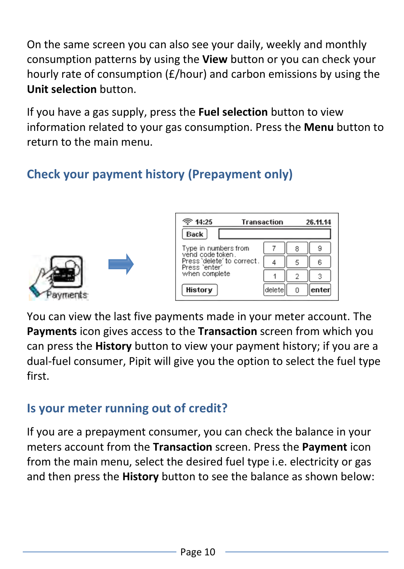On the same screen you can also see your daily, weekly and monthly consumption patterns by using the **View** button or you can check your hourly rate of consumption (£/hour) and carbon emissions by using the **Unit selection** button.

If you have a gas supply, press the **Fuel selection** button to view information related to your gas consumption. Press the **Menu** button to return to the main menu.

# **Check your payment history (Prepayment only)**





| ె 14:25                                     | Transaction |   |       |
|---------------------------------------------|-------------|---|-------|
| Back                                        |             |   |       |
| Type in numbers from<br>vend code token.    |             | 8 | 9     |
| Press 'delete' to correct.<br>Press 'enter' |             | ς | 6     |
| when complete                               |             |   |       |
| History                                     | delete      |   | enter |

You can view the last five payments made in your meter account. The **Payments** icon gives access to the **Transaction** screen from which you can press the **History** button to view your payment history; if you are a dual-fuel consumer, Pipit will give you the option to select the fuel type first.

### **Is your meter running out of credit?**

If you are a prepayment consumer, you can check the balance in your meters account from the **Transaction** screen. Press the **Payment** icon from the main menu, select the desired fuel type i.e. electricity or gas and then press the **History** button to see the balance as shown below: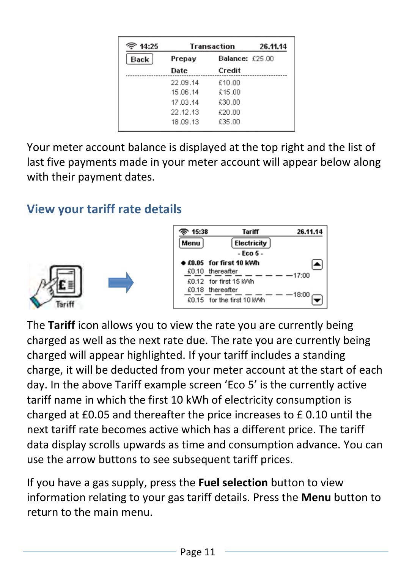| 14:25 | Transaction               |        | 26.11.14 |
|-------|---------------------------|--------|----------|
| Back  | Balance: £25.00<br>Prepay |        |          |
|       | Date                      | Credit |          |
|       | 22.09.14                  | £10.00 |          |
|       | 15.06.14                  | €15.00 |          |
|       | 17.03.14                  | £30.00 |          |
|       | 22.12.13                  | £20.00 |          |
|       | 18 09 13                  | £35.00 |          |

Your meter account balance is displayed at the top right and the list of last five payments made in your meter account will appear below along with their payment dates.

# **View your tariff rate details**



| 15:38 | Tariff                          | 26.11.14 |
|-------|---------------------------------|----------|
| Menu  | Electricity                     |          |
|       | - Eco 5 -                       |          |
|       | <b>•</b> £0.05 for first 10 kWh |          |
|       | £0.10 thereafter                | 17:00    |
|       | £0.12 for first 15 kWh          |          |
|       | £0.18 thereafter                | 18:00    |
|       | £0.15 for the first 10 kWh      |          |

The **Tariff** icon allows you to view the rate you are currently being charged as well as the next rate due. The rate you are currently being charged will appear highlighted. If your tariff includes a standing charge, it will be deducted from your meter account at the start of each day. In the above Tariff example screen 'Eco 5' is the currently active tariff name in which the first 10 kWh of electricity consumption is charged at £0.05 and thereafter the price increases to £ 0.10 until the next tariff rate becomes active which has a different price. The tariff data display scrolls upwards as time and consumption advance. You can use the arrow buttons to see subsequent tariff prices.

If you have a gas supply, press the **Fuel selection** button to view information relating to your gas tariff details. Press the **Menu** button to return to the main menu.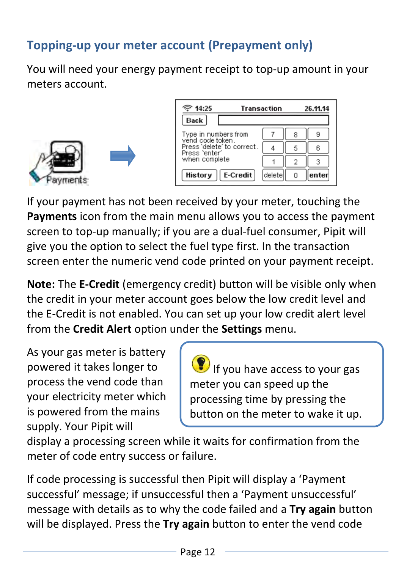# **Topping-up your meter account (Prepayment only)**

You will need your energy payment receipt to top-up amount in your meters account.



| ె 14:25                                     | Transaction |  |  |
|---------------------------------------------|-------------|--|--|
| <b>Back</b>                                 |             |  |  |
| Type in numbers from<br>vend code token.    |             |  |  |
| Press 'delete' to correct.<br>Press 'enter' |             |  |  |
| when complete                               |             |  |  |
| E-Credit<br>History                         | delete      |  |  |

If your payment has not been received by your meter, touching the **Payments** icon from the main menu allows you to access the payment screen to top-up manually; if you are a dual-fuel consumer, Pipit will give you the option to select the fuel type first. In the transaction screen enter the numeric vend code printed on your payment receipt.

**Note:** The **E-Credit** (emergency credit) button will be visible only when the credit in your meter account goes below the low credit level and the E-Credit is not enabled. You can set up your low credit alert level from the **Credit Alert** option under the **Settings** menu.

As your gas meter is battery powered it takes longer to process the vend code than your electricity meter which is powered from the mains supply. Your Pipit will

If you have access to your gas meter you can speed up the processing time by pressing the button on the meter to wake it up.

display a processing screen while it waits for confirmation from the meter of code entry success or failure.

If code processing is successful then Pipit will display a 'Payment successful' message; if unsuccessful then a 'Payment unsuccessful' message with details as to why the code failed and a **Try again** button will be displayed. Press the **Try again** button to enter the vend code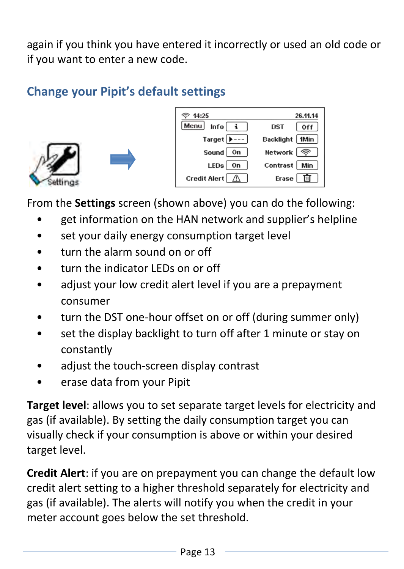again if you think you have entered it incorrectly or used an old code or if you want to enter a new code.

# **Change your Pipit's default settings**







From the **Settings** screen (shown above) you can do the following:

- get information on the HAN network and supplier's helpline
- set your daily energy consumption target level
- turn the alarm sound on or off
- turn the indicator LEDs on or off
- adjust your low credit alert level if you are a prepayment consumer
- turn the DST one-hour offset on or off (during summer only)
- set the display backlight to turn off after 1 minute or stay on constantly
- adjust the touch-screen display contrast
- erase data from your Pipit

**Target level**: allows you to set separate target levels for electricity and gas (if available). By setting the daily consumption target you can visually check if your consumption is above or within your desired target level.

**Credit Alert**: if you are on prepayment you can change the default low credit alert setting to a higher threshold separately for electricity and gas (if available). The alerts will notify you when the credit in your meter account goes below the set threshold.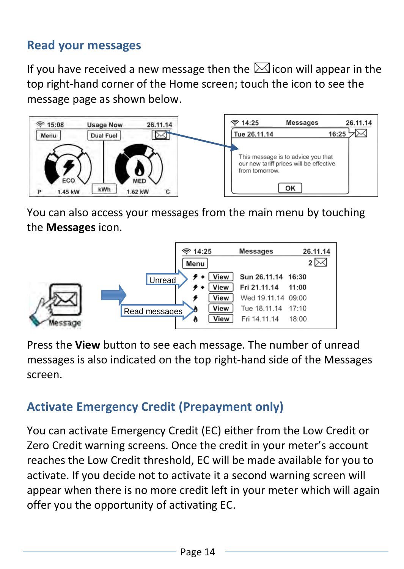#### **Read your messages**

If you have received a new message then the  $\boxtimes$  icon will appear in the top right-hand corner of the Home screen; touch the icon to see the message page as shown below.



You can also access your messages from the main menu by touching the **Messages** icon.



Press the **View** button to see each message. The number of unread messages is also indicated on the top right-hand side of the Messages screen.

# **Activate Emergency Credit (Prepayment only)**

You can activate Emergency Credit (EC) either from the Low Credit or Zero Credit warning screens. Once the credit in your meter's account reaches the Low Credit threshold, EC will be made available for you to activate. If you decide not to activate it a second warning screen will appear when there is no more credit left in your meter which will again offer you the opportunity of activating EC.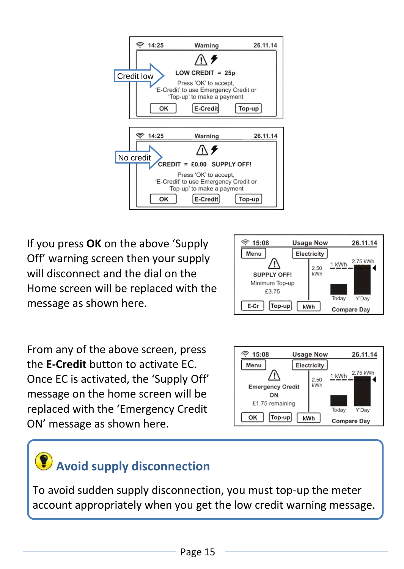

If you press **OK** on the above 'Supply Off' warning screen then your supply will disconnect and the dial on the Home screen will be replaced with the message as shown here.



From any of the above screen, press the **E-Credit** button to activate EC. Once EC is activated, the 'Supply Off' message on the home screen will be replaced with the 'Emergency Credit ON' message as shown here.



# **Avoid supply disconnection**

To avoid sudden supply disconnection, you must top-up the meter account appropriately when you get the low credit warning message.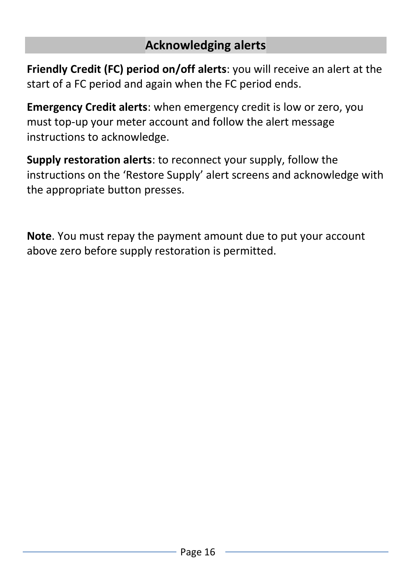#### **Acknowledging alerts**

**Friendly Credit (FC) period on/off alerts**: you will receive an alert at the start of a FC period and again when the FC period ends.

**Emergency Credit alerts**: when emergency credit is low or zero, you must top-up your meter account and follow the alert message instructions to acknowledge.

**Supply restoration alerts**: to reconnect your supply, follow the instructions on the 'Restore Supply' alert screens and acknowledge with the appropriate button presses.

**Note**. You must repay the payment amount due to put your account above zero before supply restoration is permitted.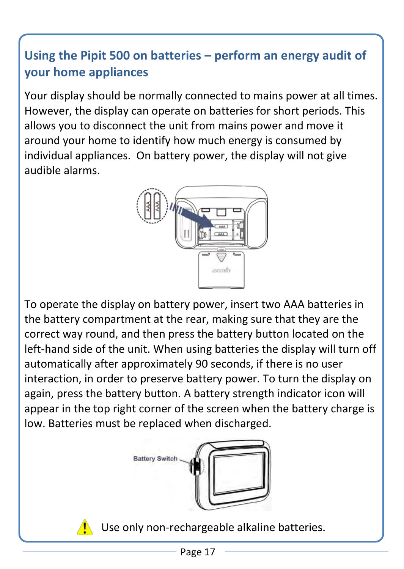# **Using the Pipit 500 on batteries – perform an energy audit of your home appliances**

Your display should be normally connected to mains power at all times. However, the display can operate on batteries for short periods. This allows you to disconnect the unit from mains power and move it around your home to identify how much energy is consumed by individual appliances. On battery power, the display will not give audible alarms.



To operate the display on battery power, insert two AAA batteries in the battery compartment at the rear, making sure that they are the correct way round, and then press the battery button located on the left-hand side of the unit. When using batteries the display will turn off automatically after approximately 90 seconds, if there is no user interaction, in order to preserve battery power. To turn the display on again, press the battery button. A battery strength indicator icon will appear in the top right corner of the screen when the battery charge is low. Batteries must be replaced when discharged.





Use only non-rechargeable alkaline batteries.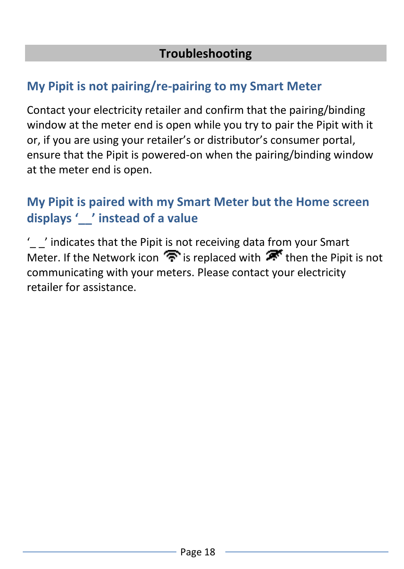### **My Pipit is not pairing/re-pairing to my Smart Meter**

Contact your electricity retailer and confirm that the pairing/binding window at the meter end is open while you try to pair the Pipit with it or, if you are using your retailer's or distributor's consumer portal, ensure that the Pipit is powered-on when the pairing/binding window at the meter end is open.

## **My Pipit is paired with my Smart Meter but the Home screen displays '\_\_' instead of a value**

'\_ \_' indicates that the Pipit is not receiving data from your Smart Meter. If the Network icon  $\widehat{\mathcal{F}}$  is replaced with  $\widehat{\mathcal{F}}$  then the Pipit is not communicating with your meters. Please contact your electricity retailer for assistance.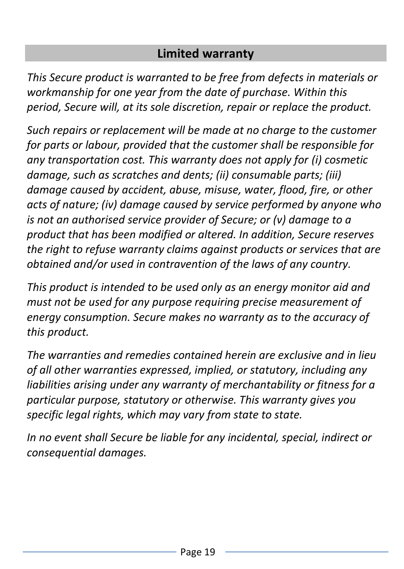#### **Limited warranty**

*This Secure product is warranted to be free from defects in materials or workmanship for one year from the date of purchase. Within this period, Secure will, at its sole discretion, repair or replace the product.* 

*Such repairs or replacement will be made at no charge to the customer for parts or labour, provided that the customer shall be responsible for any transportation cost. This warranty does not apply for (i) cosmetic damage, such as scratches and dents; (ii) consumable parts; (iii) damage caused by accident, abuse, misuse, water, flood, fire, or other acts of nature; (iv) damage caused by service performed by anyone who is not an authorised service provider of Secure; or (v) damage to a product that has been modified or altered. In addition, Secure reserves the right to refuse warranty claims against products or services that are obtained and/or used in contravention of the laws of any country.* 

*This product is intended to be used only as an energy monitor aid and must not be used for any purpose requiring precise measurement of energy consumption. Secure makes no warranty as to the accuracy of this product.* 

*The warranties and remedies contained herein are exclusive and in lieu of all other warranties expressed, implied, or statutory, including any liabilities arising under any warranty of merchantability or fitness for a particular purpose, statutory or otherwise. This warranty gives you specific legal rights, which may vary from state to state.* 

*In no event shall Secure be liable for any incidental, special, indirect or consequential damages.*